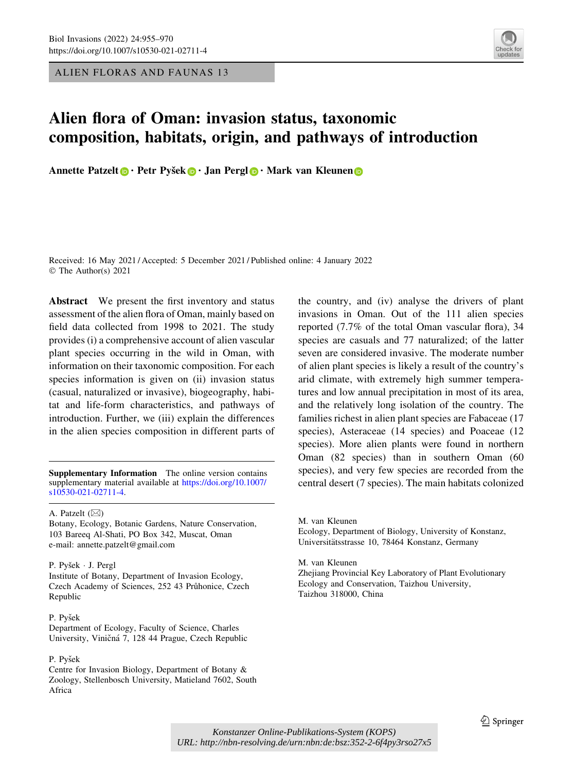ALIEN FLORAS AND FAUNAS 13



# Alien flora of Oman: invasion status, taxonomic composition, habitats, origin, and pathways of introduction

A[n](https://orcid.org/0000-0002-2861-3701)nette Patzelt **.** Petr Pyšek **.** Jan Pergl **.** Mark van Kleunen **.** 

Received: 16 May 2021 / Accepted: 5 December 2021 / Published online: 4 January 2022 © The Author(s) 2021

Abstract We present the first inventory and status assessment of the alien flora of Oman, mainly based on field data collected from 1998 to 2021. The study provides (i) a comprehensive account of alien vascular plant species occurring in the wild in Oman, with information on their taxonomic composition. For each species information is given on (ii) invasion status (casual, naturalized or invasive), biogeography, habitat and life-form characteristics, and pathways of introduction. Further, we (iii) explain the differences in the alien species composition in different parts of

Supplementary Information The online version contains supplementary material available at [https://doi.org/10.1007/](https://doi.org/10.1007/s10530-021-02711-4) [s10530-021-02711-4](https://doi.org/10.1007/s10530-021-02711-4).

A. Patzelt  $(\boxtimes)$ 

Botany, Ecology, Botanic Gardens, Nature Conservation, 103 Bareeq Al-Shati, PO Box 342, Muscat, Oman e-mail: annette.patzelt@gmail.com

P. Pyšek · J. Pergl

Institute of Botany, Department of Invasion Ecology, Czech Academy of Sciences, 252 43 Průhonice, Czech Republic

#### P. Pyšek

Department of Ecology, Faculty of Science, Charles University, Viničná 7, 128 44 Prague, Czech Republic

#### P. Pyšek

Centre for Invasion Biology, Department of Botany & Zoology, Stellenbosch University, Matieland 7602, South Africa

the country, and (iv) analyse the drivers of plant invasions in Oman. Out of the 111 alien species reported (7.7% of the total Oman vascular flora), 34 species are casuals and 77 naturalized; of the latter seven are considered invasive. The moderate number of alien plant species is likely a result of the country's arid climate, with extremely high summer temperatures and low annual precipitation in most of its area, and the relatively long isolation of the country. The families richest in alien plant species are Fabaceae (17 species), Asteraceae (14 species) and Poaceae (12 species). More alien plants were found in northern Oman (82 species) than in southern Oman (60 species), and very few species are recorded from the central desert (7 species). The main habitats colonized

M. van Kleunen

Ecology, Department of Biology, University of Konstanz, Universitätsstrasse 10, 78464 Konstanz, Germany

M. van Kleunen Zhejiang Provincial Key Laboratory of Plant Evolutionary Ecology and Conservation, Taizhou University, Taizhou 318000, China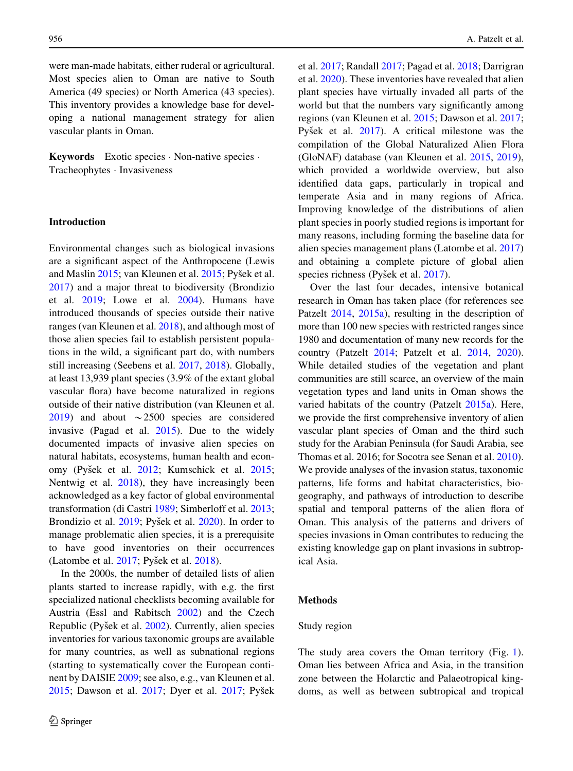were man-made habitats, either ruderal or agricultural. Most species alien to Oman are native to South America (49 species) or North America (43 species). This inventory provides a knowledge base for developing a national management strategy for alien vascular plants in Oman.

Keywords Exotic species - Non-native species - Tracheophytes - Invasiveness

# Introduction

Environmental changes such as biological invasions are a significant aspect of the Anthropocene (Lewis and Maslin [2015](#page-14-0); van Kleunen et al. 2015; Pyšek et al. [2017\)](#page-14-0) and a major threat to biodiversity (Brondizio et al. [2019](#page-12-0); Lowe et al. [2004\)](#page-13-0). Humans have introduced thousands of species outside their native ranges (van Kleunen et al. [2018](#page-14-0)), and although most of those alien species fail to establish persistent populations in the wild, a significant part do, with numbers still increasing (Seebens et al. [2017,](#page-14-0) [2018\)](#page-14-0). Globally, at least 13,939 plant species (3.9% of the extant global vascular flora) have become naturalized in regions outside of their native distribution (van Kleunen et al. [2019\)](#page-14-0) and about  $\sim$  2500 species are considered invasive (Pagad et al. [2015\)](#page-13-0). Due to the widely documented impacts of invasive alien species on natural habitats, ecosystems, human health and econ-omy (Pyšek et al. [2012](#page-14-0); Kumschick et al. [2015](#page-12-0); Nentwig et al. [2018\)](#page-13-0), they have increasingly been acknowledged as a key factor of global environmental transformation (di Castri [1989](#page-12-0); Simberloff et al. [2013](#page-14-0); Brondizio et al. [2019](#page-12-0); Pyšek et al. [2020\)](#page-14-0). In order to manage problematic alien species, it is a prerequisite to have good inventories on their occurrences (Latombe et al.  $2017$ ; Pyšek et al.  $2018$ ).

In the 2000s, the number of detailed lists of alien plants started to increase rapidly, with e.g. the first specialized national checklists becoming available for Austria (Essl and Rabitsch [2002](#page-12-0)) and the Czech Republic (Pyšek et al. [2002\)](#page-13-0). Currently, alien species inventories for various taxonomic groups are available for many countries, as well as subnational regions (starting to systematically cover the European continent by DAISIE [2009](#page-12-0); see also, e.g., van Kleunen et al. [2015;](#page-14-0) Dawson et al. [2017](#page-12-0); Dyer et al. [2017;](#page-12-0) Pyšek et al. [2017;](#page-14-0) Randall [2017](#page-14-0); Pagad et al. [2018;](#page-13-0) Darrigran et al. [2020](#page-12-0)). These inventories have revealed that alien plant species have virtually invaded all parts of the world but that the numbers vary significantly among regions (van Kleunen et al. [2015](#page-14-0); Dawson et al. [2017;](#page-12-0) Pyšek et al. [2017](#page-14-0)). A critical milestone was the compilation of the Global Naturalized Alien Flora (GloNAF) database (van Kleunen et al. [2015,](#page-14-0) [2019](#page-14-0)), which provided a worldwide overview, but also identified data gaps, particularly in tropical and temperate Asia and in many regions of Africa. Improving knowledge of the distributions of alien plant species in poorly studied regions is important for many reasons, including forming the baseline data for alien species management plans (Latombe et al. [2017\)](#page-13-0) and obtaining a complete picture of global alien species richness (Pyšek et al. [2017\)](#page-14-0).

Over the last four decades, intensive botanical research in Oman has taken place (for references see Patzelt [2014](#page-13-0), [2015a\)](#page-13-0), resulting in the description of more than 100 new species with restricted ranges since 1980 and documentation of many new records for the country (Patzelt [2014](#page-13-0); Patzelt et al. [2014](#page-13-0), [2020](#page-13-0)). While detailed studies of the vegetation and plant communities are still scarce, an overview of the main vegetation types and land units in Oman shows the varied habitats of the country (Patzelt [2015a\)](#page-13-0). Here, we provide the first comprehensive inventory of alien vascular plant species of Oman and the third such study for the Arabian Peninsula (for Saudi Arabia, see Thomas et al. 2016; for Socotra see Senan et al. [2010](#page-14-0)). We provide analyses of the invasion status, taxonomic patterns, life forms and habitat characteristics, biogeography, and pathways of introduction to describe spatial and temporal patterns of the alien flora of Oman. This analysis of the patterns and drivers of species invasions in Oman contributes to reducing the existing knowledge gap on plant invasions in subtropical Asia.

# Methods

## Study region

The study area covers the Oman territory (Fig. [1](#page-2-0)). Oman lies between Africa and Asia, in the transition zone between the Holarctic and Palaeotropical kingdoms, as well as between subtropical and tropical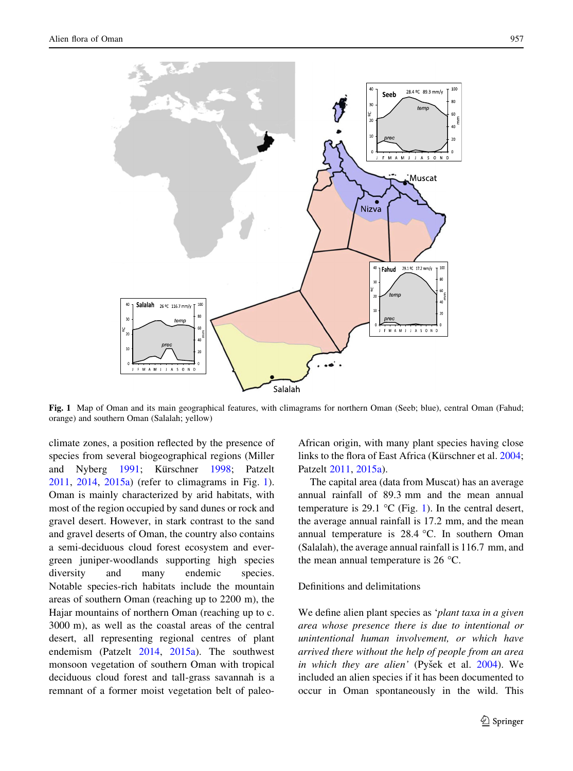<span id="page-2-0"></span>

Fig. 1 Map of Oman and its main geographical features, with climagrams for northern Oman (Seeb; blue), central Oman (Fahud; orange) and southern Oman (Salalah; yellow)

climate zones, a position reflected by the presence of species from several biogeographical regions (Miller and Nyberg [1991;](#page-13-0) Kürschner [1998;](#page-12-0) Patzelt [2011,](#page-13-0) [2014](#page-13-0), [2015a](#page-13-0)) (refer to climagrams in Fig. 1). Oman is mainly characterized by arid habitats, with most of the region occupied by sand dunes or rock and gravel desert. However, in stark contrast to the sand and gravel deserts of Oman, the country also contains a semi-deciduous cloud forest ecosystem and evergreen juniper-woodlands supporting high species diversity and many endemic species. Notable species-rich habitats include the mountain areas of southern Oman (reaching up to 2200 m), the Hajar mountains of northern Oman (reaching up to c. 3000 m), as well as the coastal areas of the central desert, all representing regional centres of plant endemism (Patzelt [2014,](#page-13-0) [2015a\)](#page-13-0). The southwest monsoon vegetation of southern Oman with tropical deciduous cloud forest and tall-grass savannah is a remnant of a former moist vegetation belt of paleoAfrican origin, with many plant species having close links to the flora of East Africa (Kürschner et al. [2004](#page-12-0); Patzelt [2011,](#page-13-0) [2015a\)](#page-13-0).

The capital area (data from Muscat) has an average annual rainfall of 89.3 mm and the mean annual temperature is 29.1  $\degree$ C (Fig. 1). In the central desert, the average annual rainfall is 17.2 mm, and the mean annual temperature is  $28.4$  °C. In southern Oman (Salalah), the average annual rainfall is 116.7 mm, and the mean annual temperature is  $26^{\circ}$ C.

# Definitions and delimitations

We define alien plant species as 'plant taxa in a given area whose presence there is due to intentional or unintentional human involvement, or which have arrived there without the help of people from an area in which they are alien' (Pyšek et al.  $2004$ ). We included an alien species if it has been documented to occur in Oman spontaneously in the wild. This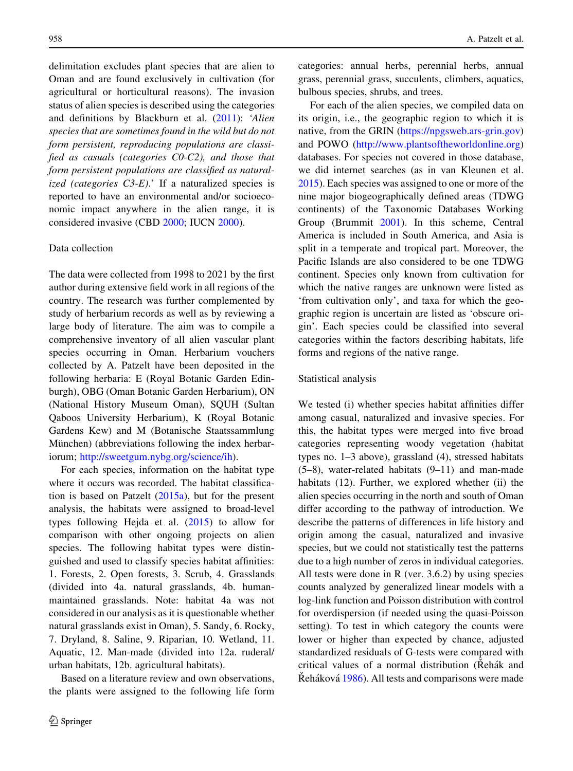delimitation excludes plant species that are alien to Oman and are found exclusively in cultivation (for agricultural or horticultural reasons). The invasion status of alien species is described using the categories and definitions by Blackburn et al. [\(2011](#page-12-0)): 'Alien species that are sometimes found in the wild but do not form persistent, reproducing populations are classified as casuals (categories C0-C2), and those that form persistent populations are classified as naturalized (categories  $C3-E$ ).' If a naturalized species is reported to have an environmental and/or socioeconomic impact anywhere in the alien range, it is considered invasive (CBD [2000;](#page-12-0) IUCN [2000](#page-12-0)).

#### Data collection

The data were collected from 1998 to 2021 by the first author during extensive field work in all regions of the country. The research was further complemented by study of herbarium records as well as by reviewing a large body of literature. The aim was to compile a comprehensive inventory of all alien vascular plant species occurring in Oman. Herbarium vouchers collected by A. Patzelt have been deposited in the following herbaria: E (Royal Botanic Garden Edinburgh), OBG (Oman Botanic Garden Herbarium), ON (National History Museum Oman), SQUH (Sultan Qaboos University Herbarium), K (Royal Botanic Gardens Kew) and M (Botanische Staatssammlung München) (abbreviations following the index herbariorum; <http://sweetgum.nybg.org/science/ih>).

For each species, information on the habitat type where it occurs was recorded. The habitat classification is based on Patzelt  $(2015a)$ , but for the present analysis, the habitats were assigned to broad-level types following Hejda et al.  $(2015)$  $(2015)$  to allow for comparison with other ongoing projects on alien species. The following habitat types were distinguished and used to classify species habitat affinities: 1. Forests, 2. Open forests, 3. Scrub, 4. Grasslands (divided into 4a. natural grasslands, 4b. humanmaintained grasslands. Note: habitat 4a was not considered in our analysis as it is questionable whether natural grasslands exist in Oman), 5. Sandy, 6. Rocky, 7. Dryland, 8. Saline, 9. Riparian, 10. Wetland, 11. Aquatic, 12. Man-made (divided into 12a. ruderal/ urban habitats, 12b. agricultural habitats).

Based on a literature review and own observations, the plants were assigned to the following life form categories: annual herbs, perennial herbs, annual grass, perennial grass, succulents, climbers, aquatics, bulbous species, shrubs, and trees.

For each of the alien species, we compiled data on its origin, i.e., the geographic region to which it is native, from the GRIN ([https://npgsweb.ars-grin.gov\)](https://npgsweb.ars-grin.gov) and POWO [\(http://www.plantsoftheworldonline.org\)](http://www.plantsoftheworldonline.org) databases. For species not covered in those database, we did internet searches (as in van Kleunen et al. [2015\)](#page-14-0). Each species was assigned to one or more of the nine major biogeographically defined areas (TDWG continents) of the Taxonomic Databases Working Group (Brummit [2001](#page-12-0)). In this scheme, Central America is included in South America, and Asia is split in a temperate and tropical part. Moreover, the Pacific Islands are also considered to be one TDWG continent. Species only known from cultivation for which the native ranges are unknown were listed as 'from cultivation only', and taxa for which the geographic region is uncertain are listed as 'obscure origin'. Each species could be classified into several categories within the factors describing habitats, life forms and regions of the native range.

#### Statistical analysis

We tested (i) whether species habitat affinities differ among casual, naturalized and invasive species. For this, the habitat types were merged into five broad categories representing woody vegetation (habitat types no. 1–3 above), grassland (4), stressed habitats (5–8), water-related habitats (9–11) and man-made habitats (12). Further, we explored whether (ii) the alien species occurring in the north and south of Oman differ according to the pathway of introduction. We describe the patterns of differences in life history and origin among the casual, naturalized and invasive species, but we could not statistically test the patterns due to a high number of zeros in individual categories. All tests were done in R (ver. 3.6.2) by using species counts analyzed by generalized linear models with a log-link function and Poisson distribution with control for overdispersion (if needed using the quasi-Poisson setting). To test in which category the counts were lower or higher than expected by chance, adjusted standardized residuals of G-tests were compared with critical values of a normal distribution (Rehák and Reháková [1986\)](#page-14-0). All tests and comparisons were made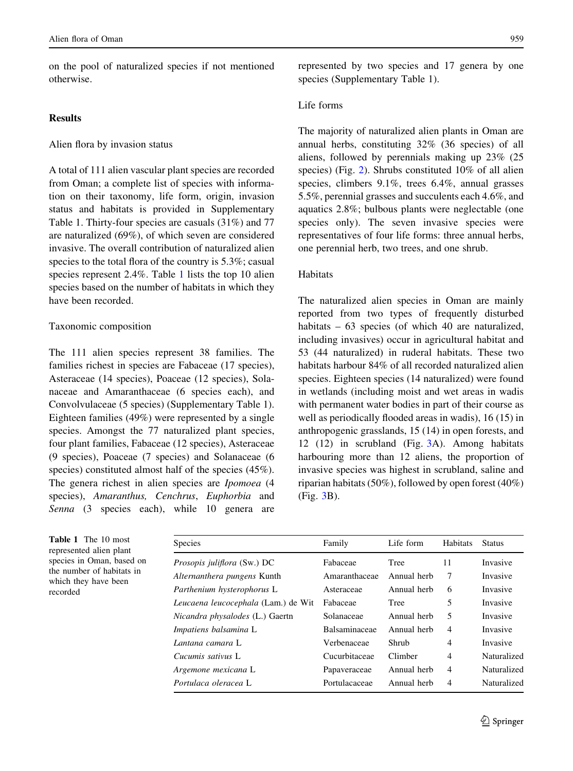<span id="page-4-0"></span>on the pool of naturalized species if not mentioned otherwise.

# **Results**

# Alien flora by invasion status

A total of 111 alien vascular plant species are recorded from Oman; a complete list of species with information on their taxonomy, life form, origin, invasion status and habitats is provided in Supplementary Table 1. Thirty-four species are casuals (31%) and 77 are naturalized (69%), of which seven are considered invasive. The overall contribution of naturalized alien species to the total flora of the country is 5.3%; casual species represent 2.4%. Table 1 lists the top 10 alien species based on the number of habitats in which they have been recorded.

# Taxonomic composition

The 111 alien species represent 38 families. The families richest in species are Fabaceae (17 species), Asteraceae (14 species), Poaceae (12 species), Solanaceae and Amaranthaceae (6 species each), and Convolvulaceae (5 species) (Supplementary Table 1). Eighteen families (49%) were represented by a single species. Amongst the 77 naturalized plant species, four plant families, Fabaceae (12 species), Asteraceae (9 species), Poaceae (7 species) and Solanaceae (6 species) constituted almost half of the species (45%). The genera richest in alien species are Ipomoea (4 species), Amaranthus, Cenchrus, Euphorbia and Senna (3 species each), while 10 genera are represented by two species and 17 genera by one species (Supplementary Table 1).

# Life forms

The majority of naturalized alien plants in Oman are annual herbs, constituting 32% (36 species) of all aliens, followed by perennials making up 23% (25 species) (Fig. [2\)](#page-5-0). Shrubs constituted 10% of all alien species, climbers 9.1%, trees 6.4%, annual grasses 5.5%, perennial grasses and succulents each 4.6%, and aquatics 2.8%; bulbous plants were neglectable (one species only). The seven invasive species were representatives of four life forms: three annual herbs, one perennial herb, two trees, and one shrub.

# Habitats

The naturalized alien species in Oman are mainly reported from two types of frequently disturbed habitats – 63 species (of which 40 are naturalized, including invasives) occur in agricultural habitat and 53 (44 naturalized) in ruderal habitats. These two habitats harbour 84% of all recorded naturalized alien species. Eighteen species (14 naturalized) were found in wetlands (including moist and wet areas in wadis with permanent water bodies in part of their course as well as periodically flooded areas in wadis), 16 (15) in anthropogenic grasslands, 15 (14) in open forests, and 12 (12) in scrubland (Fig. [3A](#page-6-0)). Among habitats harbouring more than 12 aliens, the proportion of invasive species was highest in scrubland, saline and riparian habitats (50%), followed by open forest (40%) (Fig. [3](#page-6-0)B).

| <b>Table 1</b> The 10 most |
|----------------------------|
| represented alien plant    |
| species in Oman, based on  |
| the number of habitats in  |
| which they have been       |
| recorded                   |
|                            |

| Species                             | Family        | Life form   | Habitats       | <b>Status</b> |
|-------------------------------------|---------------|-------------|----------------|---------------|
| <i>Prosopis juliflora</i> (Sw.) DC  | Fabaceae      | Tree        | 11             | Invasive      |
| Alternanthera pungens Kunth         | Amaranthaceae | Annual herb | 7              | Invasive      |
| Parthenium hysterophorus L          | Asteraceae    | Annual herb | 6              | Invasive      |
| Leucaena leucocephala (Lam.) de Wit | Fabaceae      | Tree        | 5              | Invasive      |
| Nicandra physalodes (L.) Gaertn     | Solanaceae    | Annual herb | 5              | Invasive      |
| Impatiens balsamina L               | Balsaminaceae | Annual herb | $\overline{4}$ | Invasive      |
| Lantana camara L                    | Verbenaceae   | Shrub       | 4              | Invasive      |
| Cucumis sativus L                   | Cucurbitaceae | Climber     | 4              | Naturalized   |
| Argemone mexicana L                 | Papaveraceae  | Annual herb | $\overline{4}$ | Naturalized   |
| Portulaca oleracea L                | Portulacaceae | Annual herb | 4              | Naturalized   |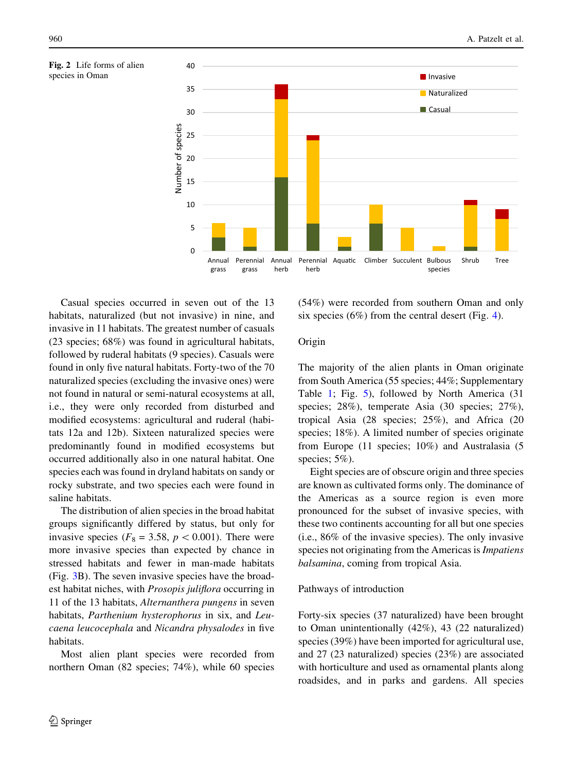<span id="page-5-0"></span>



Casual species occurred in seven out of the 13 habitats, naturalized (but not invasive) in nine, and invasive in 11 habitats. The greatest number of casuals (23 species; 68%) was found in agricultural habitats, followed by ruderal habitats (9 species). Casuals were found in only five natural habitats. Forty-two of the 70 naturalized species (excluding the invasive ones) were not found in natural or semi-natural ecosystems at all, i.e., they were only recorded from disturbed and modified ecosystems: agricultural and ruderal (habitats 12a and 12b). Sixteen naturalized species were predominantly found in modified ecosystems but occurred additionally also in one natural habitat. One species each was found in dryland habitats on sandy or rocky substrate, and two species each were found in saline habitats.

The distribution of alien species in the broad habitat groups significantly differed by status, but only for invasive species ( $F_8 = 3.58$ ,  $p < 0.001$ ). There were more invasive species than expected by chance in stressed habitats and fewer in man-made habitats (Fig. [3](#page-6-0)B). The seven invasive species have the broadest habitat niches, with Prosopis juliflora occurring in 11 of the 13 habitats, Alternanthera pungens in seven habitats, Parthenium hysterophorus in six, and Leucaena leucocephala and Nicandra physalodes in five habitats.

Most alien plant species were recorded from northern Oman (82 species; 74%), while 60 species

(54%) were recorded from southern Oman and only six species  $(6\%)$  from the central desert (Fig. [4](#page-7-0)).

# Origin

The majority of the alien plants in Oman originate from South America (55 species; 44%; Supplementary Table [1;](#page-4-0) Fig. [5\)](#page-7-0), followed by North America (31 species; 28%), temperate Asia (30 species; 27%), tropical Asia (28 species; 25%), and Africa (20 species; 18%). A limited number of species originate from Europe (11 species; 10%) and Australasia (5 species; 5%).

Eight species are of obscure origin and three species are known as cultivated forms only. The dominance of the Americas as a source region is even more pronounced for the subset of invasive species, with these two continents accounting for all but one species (i.e., 86% of the invasive species). The only invasive species not originating from the Americas is Impatiens balsamina, coming from tropical Asia.

# Pathways of introduction

Forty-six species (37 naturalized) have been brought to Oman unintentionally (42%), 43 (22 naturalized) species (39%) have been imported for agricultural use, and 27 (23 naturalized) species (23%) are associated with horticulture and used as ornamental plants along roadsides, and in parks and gardens. All species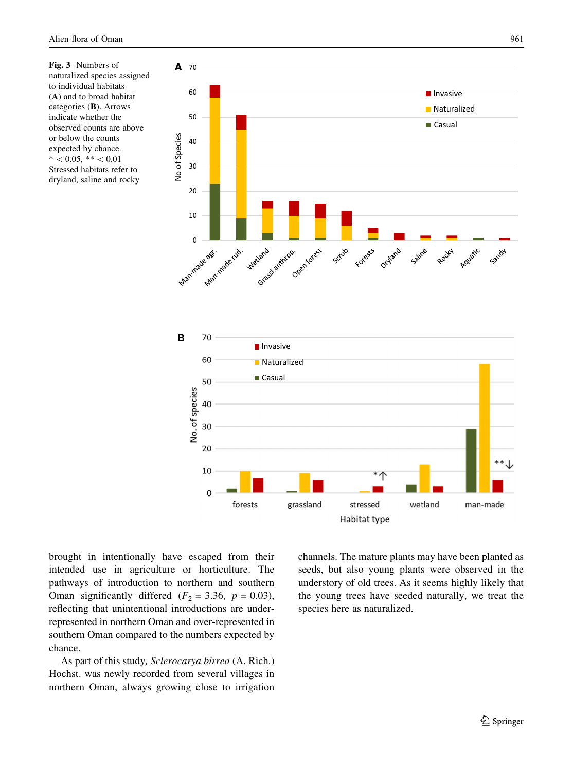<span id="page-6-0"></span>Fig. 3 Numbers of naturalized species assigned to individual habitats (A) and to broad habitat categories (B). Arrows indicate whether the observed counts are above or below the counts expected by chance.  $* < 0.05, **< 0.01$ Stressed habitats refer to dryland, saline and rocky



brought in intentionally have escaped from their intended use in agriculture or horticulture. The pathways of introduction to northern and southern Oman significantly differed  $(F_2 = 3.36, p = 0.03)$ , reflecting that unintentional introductions are underrepresented in northern Oman and over-represented in southern Oman compared to the numbers expected by chance.

As part of this study, Sclerocarya birrea (A. Rich.) Hochst. was newly recorded from several villages in northern Oman, always growing close to irrigation channels. The mature plants may have been planted as seeds, but also young plants were observed in the understory of old trees. As it seems highly likely that the young trees have seeded naturally, we treat the species here as naturalized.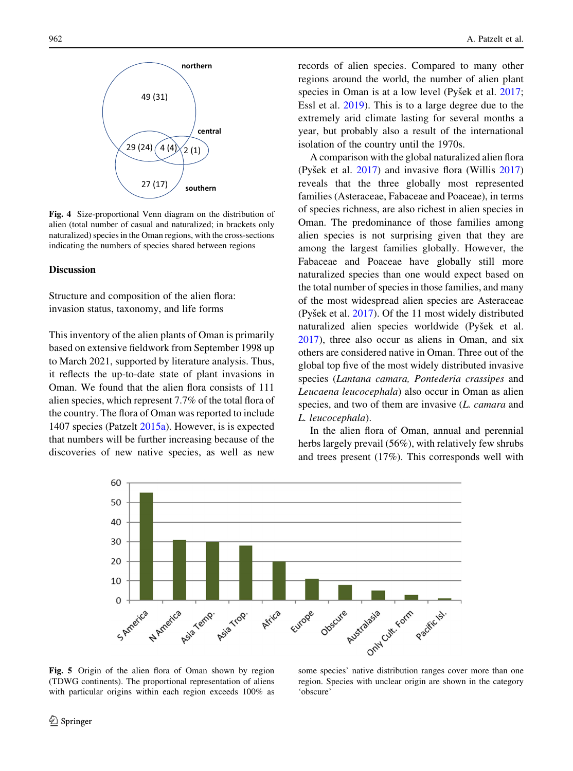<span id="page-7-0"></span>

Fig. 4 Size-proportional Venn diagram on the distribution of alien (total number of casual and naturalized; in brackets only naturalized) species in the Oman regions, with the cross-sections indicating the numbers of species shared between regions

# **Discussion**

Structure and composition of the alien flora: invasion status, taxonomy, and life forms

This inventory of the alien plants of Oman is primarily based on extensive fieldwork from September 1998 up to March 2021, supported by literature analysis. Thus, it reflects the up-to-date state of plant invasions in Oman. We found that the alien flora consists of 111 alien species, which represent 7.7% of the total flora of the country. The flora of Oman was reported to include 1407 species (Patzelt [2015a](#page-13-0)). However, is is expected that numbers will be further increasing because of the discoveries of new native species, as well as new

records of alien species. Compared to many other regions around the world, the number of alien plant species in Oman is at a low level (Pyšek et al. [2017](#page-14-0); Essl et al. [2019](#page-12-0)). This is to a large degree due to the extremely arid climate lasting for several months a year, but probably also a result of the international isolation of the country until the 1970s.

A comparison with the global naturalized alien flora (Pyšek et al.  $2017$ ) and invasive flora (Willis  $2017$ ) reveals that the three globally most represented families (Asteraceae, Fabaceae and Poaceae), in terms of species richness, are also richest in alien species in Oman. The predominance of those families among alien species is not surprising given that they are among the largest families globally. However, the Fabaceae and Poaceae have globally still more naturalized species than one would expect based on the total number of species in those families, and many of the most widespread alien species are Asteraceae (Pyšek et al.  $2017$ ). Of the 11 most widely distributed naturalized alien species worldwide (Pyšek et al. [2017\)](#page-14-0), three also occur as aliens in Oman, and six others are considered native in Oman. Three out of the global top five of the most widely distributed invasive species (Lantana camara, Pontederia crassipes and Leucaena leucocephala) also occur in Oman as alien species, and two of them are invasive (L. camara and L. leucocephala).

In the alien flora of Oman, annual and perennial herbs largely prevail (56%), with relatively few shrubs and trees present (17%). This corresponds well with



Fig. 5 Origin of the alien flora of Oman shown by region (TDWG continents). The proportional representation of aliens with particular origins within each region exceeds 100% as

some species' native distribution ranges cover more than one region. Species with unclear origin are shown in the category 'obscure'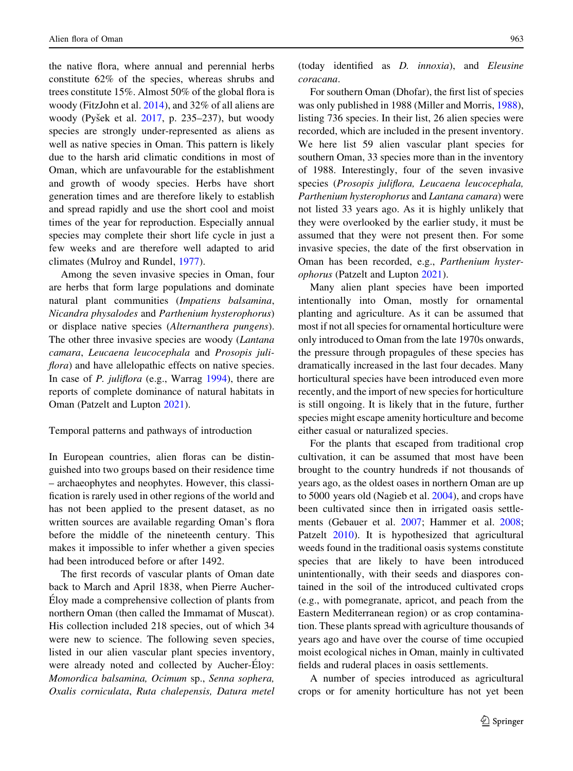the native flora, where annual and perennial herbs constitute 62% of the species, whereas shrubs and trees constitute 15%. Almost 50% of the global flora is woody (FitzJohn et al. [2014](#page-12-0)), and 32% of all aliens are woody (Pyšek et al.  $2017$ , p.  $235-237$ ), but woody species are strongly under-represented as aliens as well as native species in Oman. This pattern is likely due to the harsh arid climatic conditions in most of Oman, which are unfavourable for the establishment and growth of woody species. Herbs have short generation times and are therefore likely to establish and spread rapidly and use the short cool and moist times of the year for reproduction. Especially annual species may complete their short life cycle in just a few weeks and are therefore well adapted to arid climates (Mulroy and Rundel, [1977](#page-13-0)).

Among the seven invasive species in Oman, four are herbs that form large populations and dominate natural plant communities (Impatiens balsamina, Nicandra physalodes and Parthenium hysterophorus) or displace native species (Alternanthera pungens). The other three invasive species are woody (*Lantana*) camara, Leucaena leucocephala and Prosopis juliflora) and have allelopathic effects on native species. In case of P. juliflora (e.g., Warrag [1994\)](#page-14-0), there are reports of complete dominance of natural habitats in Oman (Patzelt and Lupton [2021](#page-13-0)).

#### Temporal patterns and pathways of introduction

In European countries, alien floras can be distinguished into two groups based on their residence time – archaeophytes and neophytes. However, this classification is rarely used in other regions of the world and has not been applied to the present dataset, as no written sources are available regarding Oman's flora before the middle of the nineteenth century. This makes it impossible to infer whether a given species had been introduced before or after 1492.

The first records of vascular plants of Oman date back to March and April 1838, when Pierre Aucher-Eloy made a comprehensive collection of plants from northern Oman (then called the Immamat of Muscat). His collection included 218 species, out of which 34 were new to science. The following seven species, listed in our alien vascular plant species inventory, were already noted and collected by Aucher-Éloy: Momordica balsamina, Ocimum sp., Senna sophera, Oxalis corniculata, Ruta chalepensis, Datura metel (today identified as D. innoxia), and Eleusine coracana.

For southern Oman (Dhofar), the first list of species was only published in 1988 (Miller and Morris, [1988](#page-13-0)), listing 736 species. In their list, 26 alien species were recorded, which are included in the present inventory. We here list 59 alien vascular plant species for southern Oman, 33 species more than in the inventory of 1988. Interestingly, four of the seven invasive species (Prosopis juliflora, Leucaena leucocephala, Parthenium hysterophorus and Lantana camara) were not listed 33 years ago. As it is highly unlikely that they were overlooked by the earlier study, it must be assumed that they were not present then. For some invasive species, the date of the first observation in Oman has been recorded, e.g., Parthenium hysterophorus (Patzelt and Lupton [2021\)](#page-13-0).

Many alien plant species have been imported intentionally into Oman, mostly for ornamental planting and agriculture. As it can be assumed that most if not all species for ornamental horticulture were only introduced to Oman from the late 1970s onwards, the pressure through propagules of these species has dramatically increased in the last four decades. Many horticultural species have been introduced even more recently, and the import of new species for horticulture is still ongoing. It is likely that in the future, further species might escape amenity horticulture and become either casual or naturalized species.

For the plants that escaped from traditional crop cultivation, it can be assumed that most have been brought to the country hundreds if not thousands of years ago, as the oldest oases in northern Oman are up to 5000 years old (Nagieb et al. [2004\)](#page-13-0), and crops have been cultivated since then in irrigated oasis settlements (Gebauer et al. [2007;](#page-12-0) Hammer et al. [2008](#page-12-0); Patzelt [2010](#page-13-0)). It is hypothesized that agricultural weeds found in the traditional oasis systems constitute species that are likely to have been introduced unintentionally, with their seeds and diaspores contained in the soil of the introduced cultivated crops (e.g., with pomegranate, apricot, and peach from the Eastern Mediterranean region) or as crop contamination. These plants spread with agriculture thousands of years ago and have over the course of time occupied moist ecological niches in Oman, mainly in cultivated fields and ruderal places in oasis settlements.

A number of species introduced as agricultural crops or for amenity horticulture has not yet been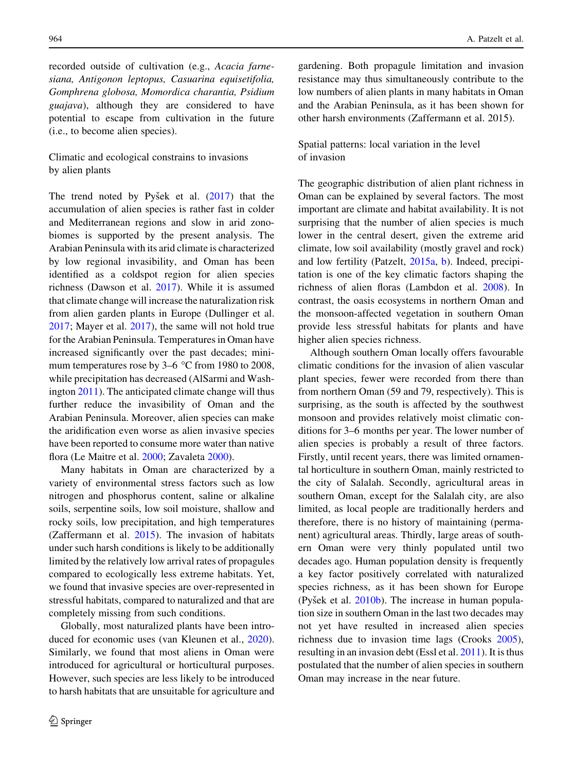recorded outside of cultivation (e.g., Acacia farnesiana, Antigonon leptopus, Casuarina equisetifolia, Gomphrena globosa, Momordica charantia, Psidium guajava), although they are considered to have potential to escape from cultivation in the future (i.e., to become alien species).

Climatic and ecological constrains to invasions by alien plants

The trend noted by Pyšek et al.  $(2017)$  $(2017)$  that the accumulation of alien species is rather fast in colder and Mediterranean regions and slow in arid zonobiomes is supported by the present analysis. The Arabian Peninsula with its arid climate is characterized by low regional invasibility, and Oman has been identified as a coldspot region for alien species richness (Dawson et al. [2017\)](#page-12-0). While it is assumed that climate change will increase the naturalization risk from alien garden plants in Europe (Dullinger et al. [2017;](#page-12-0) Mayer et al. [2017](#page-13-0)), the same will not hold true for the Arabian Peninsula. Temperatures in Oman have increased significantly over the past decades; minimum temperatures rose by  $3-6$  °C from 1980 to 2008, while precipitation has decreased (AlSarmi and Washington [2011](#page-12-0)). The anticipated climate change will thus further reduce the invasibility of Oman and the Arabian Peninsula. Moreover, alien species can make the aridification even worse as alien invasive species have been reported to consume more water than native flora (Le Maitre et al. [2000;](#page-13-0) Zavaleta [2000](#page-15-0)).

Many habitats in Oman are characterized by a variety of environmental stress factors such as low nitrogen and phosphorus content, saline or alkaline soils, serpentine soils, low soil moisture, shallow and rocky soils, low precipitation, and high temperatures (Zaffermann et al.  $2015$ ). The invasion of habitats under such harsh conditions is likely to be additionally limited by the relatively low arrival rates of propagules compared to ecologically less extreme habitats. Yet, we found that invasive species are over-represented in stressful habitats, compared to naturalized and that are completely missing from such conditions.

Globally, most naturalized plants have been introduced for economic uses (van Kleunen et al., [2020](#page-14-0)). Similarly, we found that most aliens in Oman were introduced for agricultural or horticultural purposes. However, such species are less likely to be introduced to harsh habitats that are unsuitable for agriculture and gardening. Both propagule limitation and invasion resistance may thus simultaneously contribute to the low numbers of alien plants in many habitats in Oman and the Arabian Peninsula, as it has been shown for other harsh environments (Zaffermann et al. 2015).

# Spatial patterns: local variation in the level of invasion

The geographic distribution of alien plant richness in Oman can be explained by several factors. The most important are climate and habitat availability. It is not surprising that the number of alien species is much lower in the central desert, given the extreme arid climate, low soil availability (mostly gravel and rock) and low fertility (Patzelt, [2015a,](#page-13-0) [b\)](#page-13-0). Indeed, precipitation is one of the key climatic factors shaping the richness of alien floras (Lambdon et al. [2008](#page-13-0)). In contrast, the oasis ecosystems in northern Oman and the monsoon-affected vegetation in southern Oman provide less stressful habitats for plants and have higher alien species richness.

Although southern Oman locally offers favourable climatic conditions for the invasion of alien vascular plant species, fewer were recorded from there than from northern Oman (59 and 79, respectively). This is surprising, as the south is affected by the southwest monsoon and provides relatively moist climatic conditions for 3–6 months per year. The lower number of alien species is probably a result of three factors. Firstly, until recent years, there was limited ornamental horticulture in southern Oman, mainly restricted to the city of Salalah. Secondly, agricultural areas in southern Oman, except for the Salalah city, are also limited, as local people are traditionally herders and therefore, there is no history of maintaining (permanent) agricultural areas. Thirdly, large areas of southern Oman were very thinly populated until two decades ago. Human population density is frequently a key factor positively correlated with naturalized species richness, as it has been shown for Europe (Pyšek et al.  $2010b$ ). The increase in human population size in southern Oman in the last two decades may not yet have resulted in increased alien species richness due to invasion time lags (Crooks [2005](#page-12-0)), resulting in an invasion debt (Essl et al. [2011\)](#page-12-0). It is thus postulated that the number of alien species in southern Oman may increase in the near future.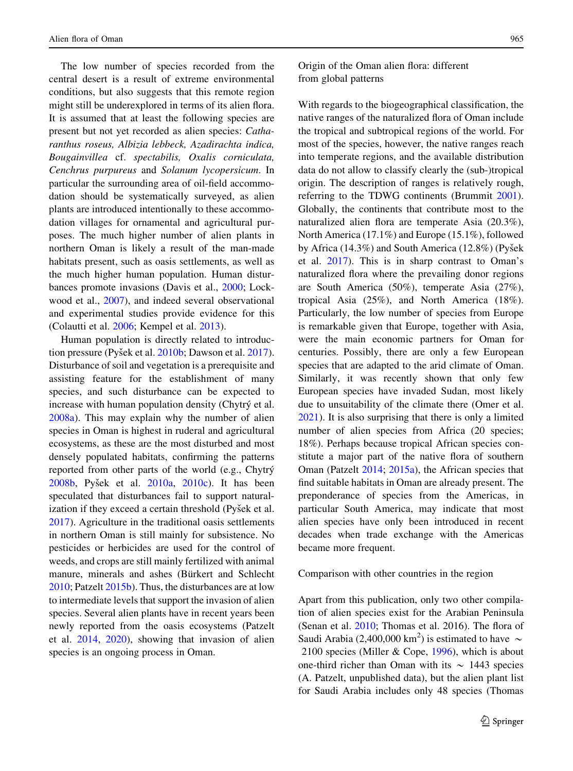The low number of species recorded from the central desert is a result of extreme environmental conditions, but also suggests that this remote region might still be underexplored in terms of its alien flora. It is assumed that at least the following species are present but not yet recorded as alien species: Catharanthus roseus, Albizia lebbeck, Azadirachta indica, Bougainvillea cf. spectabilis, Oxalis corniculata, Cenchrus purpureus and Solanum lycopersicum. In particular the surrounding area of oil-field accommodation should be systematically surveyed, as alien plants are introduced intentionally to these accommodation villages for ornamental and agricultural purposes. The much higher number of alien plants in northern Oman is likely a result of the man-made habitats present, such as oasis settlements, as well as the much higher human population. Human disturbances promote invasions (Davis et al., [2000](#page-12-0); Lockwood et al., [2007\)](#page-13-0), and indeed several observational and experimental studies provide evidence for this (Colautti et al. [2006;](#page-12-0) Kempel et al. [2013\)](#page-12-0).

Human population is directly related to introduc-tion pressure (Pyšek et al. [2010b](#page-13-0); Dawson et al. [2017](#page-12-0)). Disturbance of soil and vegetation is a prerequisite and assisting feature for the establishment of many species, and such disturbance can be expected to increase with human population density (Chytrý et al. [2008a](#page-12-0)). This may explain why the number of alien species in Oman is highest in ruderal and agricultural ecosystems, as these are the most disturbed and most densely populated habitats, confirming the patterns reported from other parts of the world (e.g., Chytry  $2008b$ , Pyšek et al.  $2010a$ ,  $2010c$ ). It has been speculated that disturbances fail to support naturalization if they exceed a certain threshold (Pyšek et al. [2017\)](#page-14-0). Agriculture in the traditional oasis settlements in northern Oman is still mainly for subsistence. No pesticides or herbicides are used for the control of weeds, and crops are still mainly fertilized with animal manure, minerals and ashes (Bürkert and Schlecht [2010;](#page-12-0) Patzelt [2015b\)](#page-13-0). Thus, the disturbances are at low to intermediate levels that support the invasion of alien species. Several alien plants have in recent years been newly reported from the oasis ecosystems (Patzelt et al. [2014,](#page-13-0) [2020](#page-13-0)), showing that invasion of alien species is an ongoing process in Oman.

Origin of the Oman alien flora: different from global patterns

With regards to the biogeographical classification, the native ranges of the naturalized flora of Oman include the tropical and subtropical regions of the world. For most of the species, however, the native ranges reach into temperate regions, and the available distribution data do not allow to classify clearly the (sub-)tropical origin. The description of ranges is relatively rough, referring to the TDWG continents (Brummit [2001](#page-12-0)). Globally, the continents that contribute most to the naturalized alien flora are temperate Asia (20.3%), North America (17.1%) and Europe (15.1%), followed by Africa (14.3%) and South America (12.8%) (Pyšek et al. [2017\)](#page-14-0). This is in sharp contrast to Oman's naturalized flora where the prevailing donor regions are South America (50%), temperate Asia (27%), tropical Asia (25%), and North America (18%). Particularly, the low number of species from Europe is remarkable given that Europe, together with Asia, were the main economic partners for Oman for centuries. Possibly, there are only a few European species that are adapted to the arid climate of Oman. Similarly, it was recently shown that only few European species have invaded Sudan, most likely due to unsuitability of the climate there (Omer et al. [2021\)](#page-13-0). It is also surprising that there is only a limited number of alien species from Africa (20 species; 18%). Perhaps because tropical African species constitute a major part of the native flora of southern Oman (Patzelt [2014;](#page-13-0) [2015a\)](#page-13-0), the African species that find suitable habitats in Oman are already present. The preponderance of species from the Americas, in particular South America, may indicate that most alien species have only been introduced in recent decades when trade exchange with the Americas became more frequent.

## Comparison with other countries in the region

Apart from this publication, only two other compilation of alien species exist for the Arabian Peninsula (Senan et al. [2010;](#page-14-0) Thomas et al. 2016). The flora of Saudi Arabia (2,400,000 km<sup>2</sup>) is estimated to have  $\sim$ 2100 species (Miller & Cope, [1996](#page-13-0)), which is about one-third richer than Oman with its  $\sim$  1443 species (A. Patzelt, unpublished data), but the alien plant list for Saudi Arabia includes only 48 species (Thomas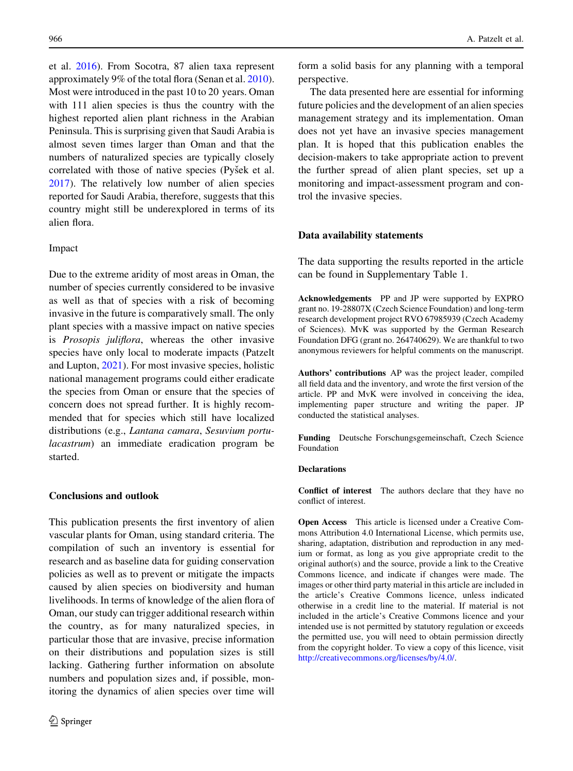et al. [2016\)](#page-14-0). From Socotra, 87 alien taxa represent approximately 9% of the total flora (Senan et al. [2010](#page-14-0)). Most were introduced in the past 10 to 20 years. Oman with 111 alien species is thus the country with the highest reported alien plant richness in the Arabian Peninsula. This is surprising given that Saudi Arabia is almost seven times larger than Oman and that the numbers of naturalized species are typically closely correlated with those of native species (Pyšek et al. [2017\)](#page-14-0). The relatively low number of alien species reported for Saudi Arabia, therefore, suggests that this country might still be underexplored in terms of its alien flora.

## Impact

Due to the extreme aridity of most areas in Oman, the number of species currently considered to be invasive as well as that of species with a risk of becoming invasive in the future is comparatively small. The only plant species with a massive impact on native species is Prosopis juliflora, whereas the other invasive species have only local to moderate impacts (Patzelt and Lupton, [2021](#page-13-0)). For most invasive species, holistic national management programs could either eradicate the species from Oman or ensure that the species of concern does not spread further. It is highly recommended that for species which still have localized distributions (e.g., Lantana camara, Sesuvium portulacastrum) an immediate eradication program be started.

# Conclusions and outlook

This publication presents the first inventory of alien vascular plants for Oman, using standard criteria. The compilation of such an inventory is essential for research and as baseline data for guiding conservation policies as well as to prevent or mitigate the impacts caused by alien species on biodiversity and human livelihoods. In terms of knowledge of the alien flora of Oman, our study can trigger additional research within the country, as for many naturalized species, in particular those that are invasive, precise information on their distributions and population sizes is still lacking. Gathering further information on absolute numbers and population sizes and, if possible, monitoring the dynamics of alien species over time will

form a solid basis for any planning with a temporal perspective.

The data presented here are essential for informing future policies and the development of an alien species management strategy and its implementation. Oman does not yet have an invasive species management plan. It is hoped that this publication enables the decision-makers to take appropriate action to prevent the further spread of alien plant species, set up a monitoring and impact-assessment program and control the invasive species.

## Data availability statements

The data supporting the results reported in the article can be found in Supplementary Table 1.

Acknowledgements PP and JP were supported by EXPRO grant no. 19-28807X (Czech Science Foundation) and long-term research development project RVO 67985939 (Czech Academy of Sciences). MvK was supported by the German Research Foundation DFG (grant no. 264740629). We are thankful to two anonymous reviewers for helpful comments on the manuscript.

Authors' contributions AP was the project leader, compiled all field data and the inventory, and wrote the first version of the article. PP and MvK were involved in conceiving the idea, implementing paper structure and writing the paper. JP conducted the statistical analyses.

Funding Deutsche Forschungsgemeinschaft, Czech Science Foundation

# **Declarations**

Conflict of interest The authors declare that they have no conflict of interest.

Open Access This article is licensed under a Creative Commons Attribution 4.0 International License, which permits use, sharing, adaptation, distribution and reproduction in any medium or format, as long as you give appropriate credit to the original author(s) and the source, provide a link to the Creative Commons licence, and indicate if changes were made. The images or other third party material in this article are included in the article's Creative Commons licence, unless indicated otherwise in a credit line to the material. If material is not included in the article's Creative Commons licence and your intended use is not permitted by statutory regulation or exceeds the permitted use, you will need to obtain permission directly from the copyright holder. To view a copy of this licence, visit <http://creativecommons.org/licenses/by/4.0/>.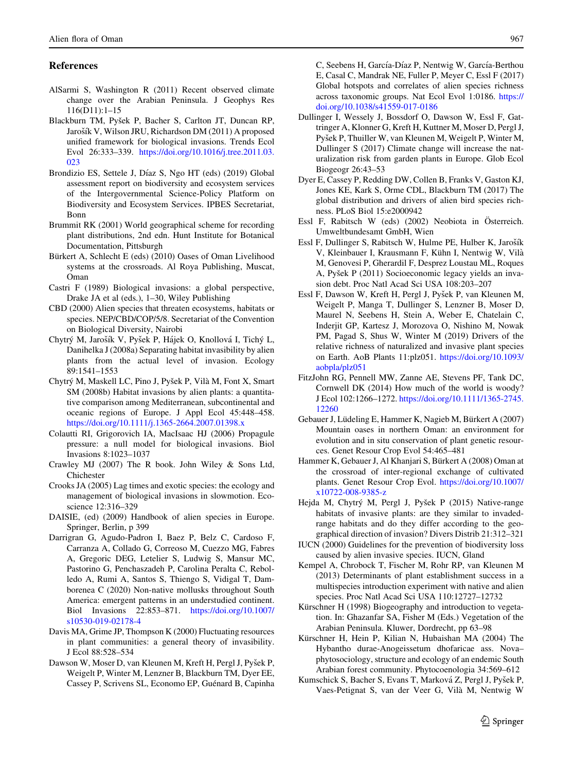# <span id="page-12-0"></span>References

- AlSarmi S, Washington R (2011) Recent observed climate change over the Arabian Peninsula. J Geophys Res 116(D11):1–15
- Blackburn TM, Pyšek P, Bacher S, Carlton JT, Duncan RP, Jarošík V, Wilson JRU, Richardson DM (2011) A proposed unified framework for biological invasions. Trends Ecol Evol 26:333–339. [https://doi.org/10.1016/j.tree.2011.03.](https://doi.org/10.1016/j.tree.2011.03.023) [023](https://doi.org/10.1016/j.tree.2011.03.023)
- Brondizio ES, Settele J, Díaz S, Ngo HT (eds) (2019) Global assessment report on biodiversity and ecosystem services of the Intergovernmental Science-Policy Platform on Biodiversity and Ecosystem Services. IPBES Secretariat, Bonn
- Brummit RK (2001) World geographical scheme for recording plant distributions, 2nd edn. Hunt Institute for Botanical Documentation, Pittsburgh
- Bürkert A, Schlecht E (eds) (2010) Oases of Oman Livelihood systems at the crossroads. Al Roya Publishing, Muscat, Oman
- Castri F (1989) Biological invasions: a global perspective, Drake JA et al (eds.), 1–30, Wiley Publishing
- CBD (2000) Alien species that threaten ecosystems, habitats or species. NEP/CBD/COP/5/8. Secretariat of the Convention on Biological Diversity, Nairobi
- Chytrý M, Jarošík V, Pyšek P, Hájek O, Knollová I, Tichý L, Danihelka J (2008a) Separating habitat invasibility by alien plants from the actual level of invasion. Ecology 89:1541–1553
- Chytrý M, Maskell LC, Pino J, Pyšek P, Vilà M, Font X, Smart SM (2008b) Habitat invasions by alien plants: a quantitative comparison among Mediterranean, subcontinental and oceanic regions of Europe. J Appl Ecol 45:448–458. <https://doi.org/10.1111/j.1365-2664.2007.01398.x>
- Colautti RI, Grigorovich IA, MacIsaac HJ (2006) Propagule pressure: a null model for biological invasions. Biol Invasions 8:1023–1037
- Crawley MJ (2007) The R book. John Wiley & Sons Ltd, Chichester
- Crooks JA (2005) Lag times and exotic species: the ecology and management of biological invasions in slowmotion. Ecoscience 12:316–329
- DAISIE, (ed) (2009) Handbook of alien species in Europe. Springer, Berlin, p 399
- Darrigran G, Agudo-Padron I, Baez P, Belz C, Cardoso F, Carranza A, Collado G, Correoso M, Cuezzo MG, Fabres A, Gregoric DEG, Letelier S, Ludwig S, Mansur MC, Pastorino G, Penchaszadeh P, Carolina Peralta C, Rebolledo A, Rumi A, Santos S, Thiengo S, Vidigal T, Damborenea C (2020) Non-native mollusks throughout South America: emergent patterns in an understudied continent. Biol Invasions 22:853–871. [https://doi.org/10.1007/](https://doi.org/10.1007/s10530-019-02178-4) [s10530-019-02178-4](https://doi.org/10.1007/s10530-019-02178-4)
- Davis MA, Grime JP, Thompson K (2000) Fluctuating resources in plant communities: a general theory of invasibility. J Ecol 88:528–534
- Dawson W, Moser D, van Kleunen M, Kreft H, Pergl J, Pyšek P, Weigelt P, Winter M, Lenzner B, Blackburn TM, Dyer EE, Cassey P, Scrivens SL, Economo EP, Guénard B, Capinha

C, Seebens H, García-Díaz P, Nentwig W, García-Berthou E, Casal C, Mandrak NE, Fuller P, Meyer C, Essl F (2017) Global hotspots and correlates of alien species richness across taxonomic groups. Nat Ecol Evol 1:0186. [https://](https://doi.org/10.1038/s41559-017-0186) [doi.org/10.1038/s41559-017-0186](https://doi.org/10.1038/s41559-017-0186)

- Dullinger I, Wessely J, Bossdorf O, Dawson W, Essl F, Gattringer A, Klonner G, Kreft H, Kuttner M, Moser D, Pergl J, Pyšek P, Thuiller W, van Kleunen M, Weigelt P, Winter M, Dullinger S (2017) Climate change will increase the naturalization risk from garden plants in Europe. Glob Ecol Biogeogr 26:43–53
- Dyer E, Cassey P, Redding DW, Collen B, Franks V, Gaston KJ, Jones KE, Kark S, Orme CDL, Blackburn TM (2017) The global distribution and drivers of alien bird species richness. PLoS Biol 15:e2000942
- Essl F, Rabitsch W (eds) (2002) Neobiota in Österreich. Umweltbundesamt GmbH, Wien
- Essl F, Dullinger S, Rabitsch W, Hulme PE, Hulber K, Jarošík V, Kleinbauer I, Krausmann F, Kühn I, Nentwig W, Vilà M, Genovesi P, Gherardil F, Desprez Loustau ML, Roques A, Pyšek P (2011) Socioeconomic legacy yields an invasion debt. Proc Natl Acad Sci USA 108:203–207
- Essl F, Dawson W, Kreft H, Pergl J, Pyšek P, van Kleunen M, Weigelt P, Manga T, Dullinger S, Lenzner B, Moser D, Maurel N, Seebens H, Stein A, Weber E, Chatelain C, Inderjit GP, Kartesz J, Morozova O, Nishino M, Nowak PM, Pagad S, Shus W, Winter M (2019) Drivers of the relative richness of naturalized and invasive plant species on Earth. AoB Plants 11:plz051. [https://doi.org/10.1093/](https://doi.org/10.1093/aobpla/plz051) [aobpla/plz051](https://doi.org/10.1093/aobpla/plz051)
- FitzJohn RG, Pennell MW, Zanne AE, Stevens PF, Tank DC, Cornwell DK (2014) How much of the world is woody? J Ecol 102:1266–1272. [https://doi.org/10.1111/1365-2745.](https://doi.org/10.1111/1365-2745.12260) [12260](https://doi.org/10.1111/1365-2745.12260)
- Gebauer J, Lüdeling E, Hammer K, Nagieb M, Bürkert A (2007) Mountain oases in northern Oman: an environment for evolution and in situ conservation of plant genetic resources. Genet Resour Crop Evol 54:465–481
- Hammer K, Gebauer J, Al Khanjari S, Bürkert A (2008) Oman at the crossroad of inter-regional exchange of cultivated plants. Genet Resour Crop Evol. [https://doi.org/10.1007/](https://doi.org/10.1007/x10722-008-9385-z) [x10722-008-9385-z](https://doi.org/10.1007/x10722-008-9385-z)
- Hejda M, Chytrý M, Pergl J, Pyšek P (2015) Native-range habitats of invasive plants: are they similar to invadedrange habitats and do they differ according to the geographical direction of invasion? Divers Distrib 21:312–321
- IUCN (2000) Guidelines for the prevention of biodiversity loss caused by alien invasive species. IUCN, Gland
- Kempel A, Chrobock T, Fischer M, Rohr RP, van Kleunen M (2013) Determinants of plant establishment success in a multispecies introduction experiment with native and alien species. Proc Natl Acad Sci USA 110:12727–12732
- Kürschner H (1998) Biogeography and introduction to vegetation. In: Ghazanfar SA, Fisher M (Eds.) Vegetation of the Arabian Peninsula. Kluwer, Dordrecht, pp 63–98
- Kürschner H, Hein P, Kilian N, Hubaishan MA (2004) The Hybantho durae-Anogeissetum dhofaricae ass. Nova– phytosociology, structure and ecology of an endemic South Arabian forest community. Phytocoenologia 34:569–612
- Kumschick S, Bacher S, Evans T, Marková Z, Pergl J, Pyšek P, Vaes-Petignat S, van der Veer G, Vila` M, Nentwig W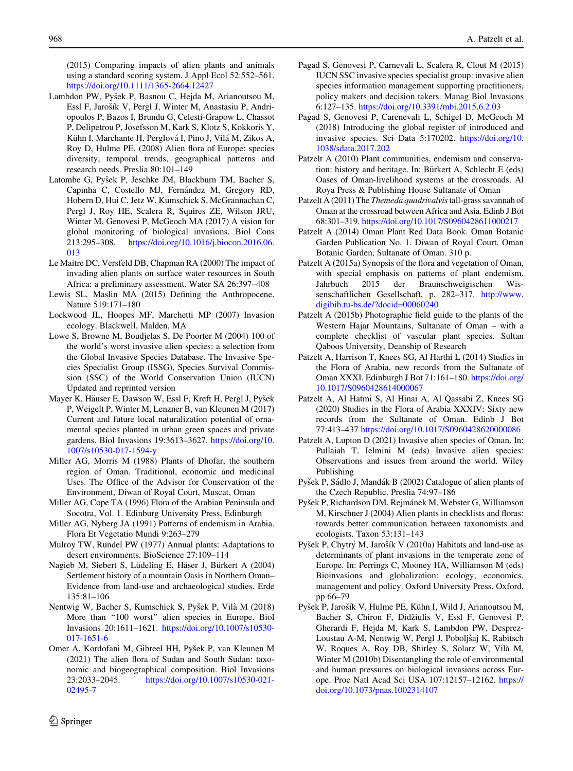<span id="page-13-0"></span>(2015) Comparing impacts of alien plants and animals using a standard scoring system. J Appl Ecol 52:552–561. <https://doi.org/10.1111/1365-2664.12427>

- Lambdon PW, Pyšek P, Basnou C, Hejda M, Arianoutsou M, Essl F, Jarošík V, Pergl J, Winter M, Anastasiu P, Andriopoulos P, Bazos I, Brundu G, Celesti-Grapow L, Chassot P, Delipetrou P, Josefsson M, Kark S, Klotz S, Kokkoris Y, Kühn I, Marchante H, Perglová I, Pino J, Vilá M, Zikos A, Roy D, Hulme PE, (2008) Alien flora of Europe: species diversity, temporal trends, geographical patterns and research needs. Preslia 80:101–149
- Latombe G, Pyšek P, Jeschke JM, Blackburn TM, Bacher S, Capinha C, Costello MJ, Fernández M, Gregory RD, Hobern D, Hui C, Jetz W, Kumschick S, McGrannachan C, Pergl J, Roy HE, Scalera R, Squires ZE, Wilson JRU, Winter M, Genovesi P, McGeoch MA (2017) A vision for global monitoring of biological invasions. Biol Cons 213:295–308. [https://doi.org/10.1016/j.biocon.2016.06.](https://doi.org/10.1016/j.biocon.2016.06.013) [013](https://doi.org/10.1016/j.biocon.2016.06.013)
- Le Maitre DC, Versfeld DB, Chapman RA (2000) The impact of invading alien plants on surface water resources in South Africa: a preliminary assessment. Water SA 26:397–408
- Lewis SL, Maslin MA (2015) Defining the Anthropocene. Nature 519:171–180
- Lockwood JL, Hoopes MF, Marchetti MP (2007) Invasion ecology. Blackwell, Malden, MA
- Lowe S, Browne M, Boudjelas S, De Poorter M (2004) 100 of the world's worst invasive alien species: a selection from the Global Invasive Species Database. The Invasive Species Specialist Group (ISSG), Species Survival Commission (SSC) of the World Conservation Union (IUCN) Updated and reprinted version
- Mayer K, Häuser E, Dawson W, Essl F, Kreft H, Pergl J, Pyšek P, Weigelt P, Winter M, Lenzner B, van Kleunen M (2017) Current and future local naturalization potential of ornamental species planted in urban green spaces and private gardens. Biol Invasions 19:3613–3627. [https://doi.org/10.](https://doi.org/10.1007/s10530-017-1594-y) [1007/s10530-017-1594-y](https://doi.org/10.1007/s10530-017-1594-y)
- Miller AG, Morris M (1988) Plants of Dhofar, the southern region of Oman. Traditional, economic and medicinal Uses. The Office of the Advisor for Conservation of the Environment, Diwan of Royal Court, Muscat, Oman
- Miller AG, Cope TA (1996) Flora of the Arabian Peninsula and Socotra, Vol. 1. Edinburg University Press, Edinburgh
- Miller AG, Nyberg JA (1991) Patterns of endemism in Arabia. Flora Et Vegetatio Mundi 9:263–279
- Mulroy TW, Rundel PW (1977) Annual plants: Adaptations to desert environments. BioScience 27:109–114
- Nagieb M, Siebert S, Lüdeling E, Häser J, Bürkert A (2004) Settlement history of a mountain Oasis in Northern Oman– Evidence from land-use and archaeological studies. Erde 135:81–106
- Nentwig W, Bacher S, Kumschick S, Pyšek P, Vilà M (2018) More than "100 worst" alien species in Europe. Biol Invasions 20:1611–1621. [https://doi.org/10.1007/s10530-](https://doi.org/10.1007/s10530-017-1651-6) [017-1651-6](https://doi.org/10.1007/s10530-017-1651-6)
- Omer A, Kordofani M, Gibreel HH, Pyšek P, van Kleunen M (2021) The alien flora of Sudan and South Sudan: taxonomic and biogeographical composition. Biol Invasions 23:2033–2045. [https://doi.org/10.1007/s10530-021-](https://doi.org/10.1007/s10530-021-02495-7) [02495-7](https://doi.org/10.1007/s10530-021-02495-7)
- Pagad S, Genovesi P, Carnevali L, Scalera R, Clout M (2015) IUCN SSC invasive species specialist group: invasive alien species information management supporting practitioners, policy makers and decision takers. Manag Biol Invasions 6:127–135. <https://doi.org/10.3391/mbi.2015.6.2.03>
- Pagad S, Genovesi P, Carenevali L, Schigel D, McGeoch M (2018) Introducing the global register of introduced and invasive species. Sci Data 5:170202. [https://doi.org/10.](https://doi.org/10.1038/sdata.2017.202) [1038/sdata.2017.202](https://doi.org/10.1038/sdata.2017.202)
- Patzelt A (2010) Plant communities, endemism and conservation: history and heritage. In: Bürkert A, Schlecht E (eds) Oases of Oman-livelihood systems at the crossroads. Al Roya Press & Publishing House Sultanate of Oman
- Patzelt A (2011) The *Themeda quadrivalvis* tall-grass savannah of Oman at the crossroad between Africa and Asia. Edinb J Bot 68:301–319. <https://doi.org/10.1017/S0960428611000217>
- Patzelt A (2014) Oman Plant Red Data Book. Oman Botanic Garden Publication No. 1. Diwan of Royal Court, Oman Botanic Garden, Sultanate of Oman. 310 p.
- Patzelt A (2015a) Synopsis of the flora and vegetation of Oman, with special emphasis on patterns of plant endemism. Jahrbuch 2015 der Braunschweigischen Wissenschaftlichen Gesellschaft, p. 282–317. [http://www.](http://www.digibib.tu-bs.de/?docid=00060240) [digibib.tu-bs.de/?docid=00060240](http://www.digibib.tu-bs.de/?docid=00060240)
- Patzelt A (2015b) Photographic field guide to the plants of the Western Hajar Mountains, Sultanate of Oman – with a complete checklist of vascular plant species. Sultan Qaboos University, Deanship of Research
- Patzelt A, Harrison T, Knees SG, Al Harthi L (2014) Studies in the Flora of Arabia, new records from the Sultanate of Oman XXXI. Edinburgh J Bot 71:161–180. [https://doi.org/](https://doi.org/10.1017/S0960428614000067) [10.1017/S0960428614000067](https://doi.org/10.1017/S0960428614000067)
- Patzelt A, Al Hatmi S, Al Hinai A, Al Qassabi Z, Knees SG (2020) Studies in the Flora of Arabia XXXIV: Sixty new records from the Sultanate of Oman. Edinb J Bot 77:413–437 <https://doi.org/10.1017/S0960428620000086>
- Patzelt A, Lupton D (2021) Invasive alien species of Oman. In: Pullaiah T, Ielmini M (eds) Invasive alien species: Observations and issues from around the world. Wiley Publishing
- Pyšek P, Sádlo J, Mandák B (2002) Catalogue of alien plants of the Czech Republic. Preslia 74:97–186
- Pyšek P, Richardson DM, Rejmánek M, Webster G, Williamson M, Kirschner J (2004) Alien plants in checklists and floras: towards better communication between taxonomists and ecologists. Taxon 53:131–143
- Pyšek P, Chytrý M, Jarošík V (2010a) Habitats and land-use as determinants of plant invasions in the temperate zone of Europe. In: Perrings C, Mooney HA, Williamson M (eds) Bioinvasions and globalization: ecology, economics, management and policy. Oxford University Press, Oxford, pp 66–79
- Pyšek P, Jarošík V, Hulme PE, Kühn I, Wild J, Arianoutsou M, Bacher S, Chiron F, Didžiulis V, Essl F, Genovesi P, Gherardi F, Hejda M, Kark S, Lambdon PW, Desprez-Loustau A-M, Nentwig W, Pergl J, Poboljšaj K, Rabitsch W, Roques A, Roy DB, Shirley S, Solarz W, Vilà M, Winter M (2010b) Disentangling the role of environmental and human pressures on biological invasions across Europe. Proc Natl Acad Sci USA 107:12157–12162. [https://](https://doi.org/10.1073/pnas.1002314107) [doi.org/10.1073/pnas.1002314107](https://doi.org/10.1073/pnas.1002314107)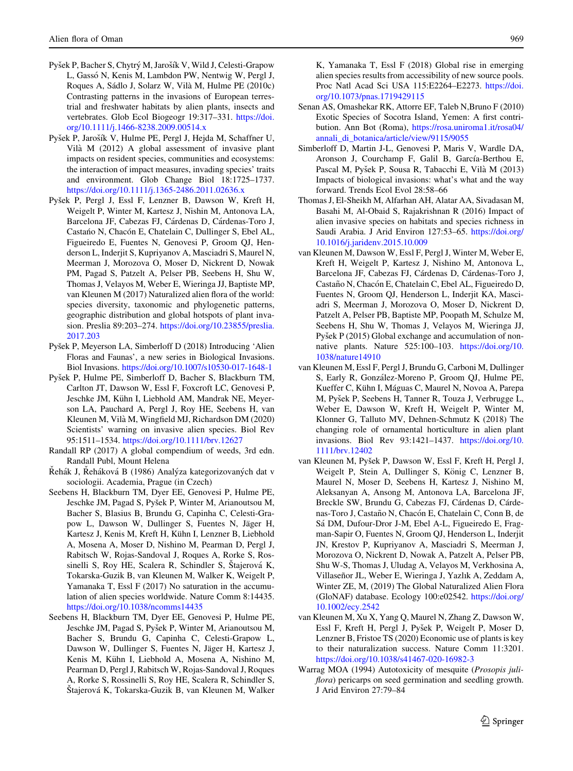- <span id="page-14-0"></span>Pyšek P, Bacher S, Chytrý M, Jarošík V, Wild J, Celesti-Grapow L, Gassó N, Kenis M, Lambdon PW, Nentwig W, Pergl J, Roques A, Sádlo J, Solarz W, Vilà M, Hulme PE (2010c) Contrasting patterns in the invasions of European terrestrial and freshwater habitats by alien plants, insects and vertebrates. Glob Ecol Biogeogr 19:317–331. [https://doi.](https://doi.org/10.1111/j.1466-8238.2009.00514.x) [org/10.1111/j.1466-8238.2009.00514.x](https://doi.org/10.1111/j.1466-8238.2009.00514.x)
- Pyšek P, Jarošík V, Hulme PE, Pergl J, Hejda M, Schaffner U, Vila` M (2012) A global assessment of invasive plant impacts on resident species, communities and ecosystems: the interaction of impact measures, invading species' traits and environment. Glob Change Biol 18:1725–1737. <https://doi.org/10.1111/j.1365-2486.2011.02636.x>
- Pyšek P, Pergl J, Essl F, Lenzner B, Dawson W, Kreft H, Weigelt P, Winter M, Kartesz J, Nishin M, Antonova LA, Barcelona JF, Cabezas FJ, Cárdenas D, Cárdenas-Toro J, Castano N, Chacon E, Chatelain C, Dullinger S, Ebel AL, Figueiredo E, Fuentes N, Genovesi P, Groom QJ, Henderson L, Inderjit S, Kupriyanov A, Masciadri S, Maurel N, Meerman J, Morozova O, Moser D, Nickrent D, Nowak PM, Pagad S, Patzelt A, Pelser PB, Seebens H, Shu W, Thomas J, Velayos M, Weber E, Wieringa JJ, Baptiste MP, van Kleunen M (2017) Naturalized alien flora of the world: species diversity, taxonomic and phylogenetic patterns, geographic distribution and global hotspots of plant invasion. Preslia 89:203–274. [https://doi.org/10.23855/preslia.](https://doi.org/10.23855/preslia.2017.203) [2017.203](https://doi.org/10.23855/preslia.2017.203)
- Pyšek P, Meyerson LA, Simberloff D (2018) Introducing 'Alien Floras and Faunas', a new series in Biological Invasions. Biol Invasions. <https://doi.org/10.1007/s10530-017-1648-1>
- Pyšek P, Hulme PE, Simberloff D, Bacher S, Blackburn TM, Carlton JT, Dawson W, Essl F, Foxcroft LC, Genovesi P, Jeschke JM, Kühn I, Liebhold AM, Mandrak NE, Meyerson LA, Pauchard A, Pergl J, Roy HE, Seebens H, van Kleunen M, Vila` M, Wingfield MJ, Richardson DM (2020) Scientists' warning on invasive alien species. Biol Rev 95:1511–1534. <https://doi.org/10.1111/brv.12627>
- Randall RP (2017) A global compendium of weeds, 3rd edn. Randall Publ, Mount Helena
- Rehák J, Reháková B (1986) Analýza kategorizovaných dat v sociologii. Academia, Prague (in Czech)
- Seebens H, Blackburn TM, Dyer EE, Genovesi P, Hulme PE, Jeschke JM, Pagad S, Pyšek P, Winter M, Arianoutsou M, Bacher S, Blasius B, Brundu G, Capinha C, Celesti-Grapow L, Dawson W, Dullinger S, Fuentes N, Jäger H, Kartesz J, Kenis M, Kreft H, Kühn I, Lenzner B, Liebhold A, Mosena A, Moser D, Nishino M, Pearman D, Pergl J, Rabitsch W, Rojas-Sandoval J, Roques A, Rorke S, Rossinelli S, Roy HE, Scalera R, Schindler S, Štajerová K, Tokarska-Guzik B, van Kleunen M, Walker K, Weigelt P, Yamanaka T, Essl F (2017) No saturation in the accumulation of alien species worldwide. Nature Comm 8:14435. <https://doi.org/10.1038/ncomms14435>
- Seebens H, Blackburn TM, Dyer EE, Genovesi P, Hulme PE, Jeschke JM, Pagad S, Pyšek P, Winter M, Arianoutsou M, Bacher S, Brundu G, Capinha C, Celesti-Grapow L, Dawson W, Dullinger S, Fuentes N, Jäger H, Kartesz J, Kenis M, Kühn I, Liebhold A, Mosena A, Nishino M, Pearman D, Pergl J, Rabitsch W, Rojas-Sandoval J, Roques A, Rorke S, Rossinelli S, Roy HE, Scalera R, Schindler S, Štajerová K, Tokarska-Guzik B, van Kleunen M, Walker
- [org/10.1073/pnas.1719429115](https://doi.org/10.1073/pnas.1719429115) Senan AS, Omashekar RK, Attorre EF, Taleb N,Bruno F (2010) Exotic Species of Socotra Island, Yemen: A first contribution. Ann Bot (Roma), [https://rosa.uniroma1.it/rosa04/](https://rosa.uniroma1.it/rosa04/annali_di_botanica/article/view/9115/9055) [annali\\_di\\_botanica/article/view/9115/9055](https://rosa.uniroma1.it/rosa04/annali_di_botanica/article/view/9115/9055)
- Simberloff D, Martin J-L, Genovesi P, Maris V, Wardle DA, Aronson J, Courchamp F, Galil B, García-Berthou E, Pascal M, Pyšek P, Sousa R, Tabacchi E, Vilà M (2013) Impacts of biological invasions: what's what and the way forward. Trends Ecol Evol 28:58–66
- Thomas J, El-Sheikh M, Alfarhan AH, Alatar AA, Sivadasan M, Basahi M, Al-Obaid S, Rajakrishnan R (2016) Impact of alien invasive species on habitats and species richness in Saudi Arabia. J Arid Environ 127:53–65. [https://doi.org/](https://doi.org/10.1016/j.jaridenv.2015.10.009) [10.1016/j.jaridenv.2015.10.009](https://doi.org/10.1016/j.jaridenv.2015.10.009)
- van Kleunen M, Dawson W, Essl F, Pergl J, Winter M, Weber E, Kreft H, Weigelt P, Kartesz J, Nishino M, Antonova L, Barcelona JF, Cabezas FJ, Cárdenas D, Cárdenas-Toro J, Castaño N, Chacón E, Chatelain C, Ebel AL, Figueiredo D, Fuentes N, Groom QJ, Henderson L, Inderjit KA, Masciadri S, Meerman J, Morozova O, Moser D, Nickrent D, Patzelt A, Pelser PB, Baptiste MP, Poopath M, Schulze M, Seebens H, Shu W, Thomas J, Velayos M, Wieringa JJ, Pyšek P (2015) Global exchange and accumulation of nonnative plants. Nature 525:100–103. [https://doi.org/10.](https://doi.org/10.1038/nature14910) [1038/nature14910](https://doi.org/10.1038/nature14910)
- van Kleunen M, Essl F, Pergl J, Brundu G, Carboni M, Dullinger S, Early R, González-Moreno P, Groom OJ, Hulme PE, Kueffer C, Kühn I, Máguas C, Maurel N, Novoa A, Parepa M, Pyšek P, Seebens H, Tanner R, Touza J, Verbrugge L, Weber E, Dawson W, Kreft H, Weigelt P, Winter M, Klonner G, Talluto MV, Dehnen-Schmutz K (2018) The changing role of ornamental horticulture in alien plant invasions. Biol Rev 93:1421–1437. [https://doi.org/10.](https://doi.org/10.1111/brv.12402) [1111/brv.12402](https://doi.org/10.1111/brv.12402)
- van Kleunen M, Pyšek P, Dawson W, Essl F, Kreft H, Pergl J, Weigelt P, Stein A, Dullinger S, König C, Lenzner B, Maurel N, Moser D, Seebens H, Kartesz J, Nishino M, Aleksanyan A, Ansong M, Antonova LA, Barcelona JF, Breckle SW, Brundu G, Cabezas FJ, Cárdenas D, Cárdenas-Toro J, Castaño N, Chacón E, Chatelain C, Conn B, de Sá DM, Dufour-Dror J-M, Ebel A-L, Figueiredo E, Fragman-Sapir O, Fuentes N, Groom QJ, Henderson L, Inderjit JN, Krestov P, Kupriyanov A, Masciadri S, Meerman J, Morozova O, Nickrent D, Nowak A, Patzelt A, Pelser PB, Shu W-S, Thomas J, Uludag A, Velayos M, Verkhosina A, Villaseñor JL, Weber E, Wieringa J, Yazlık A, Zeddam A, Winter ZE, M, (2019) The Global Naturalized Alien Flora (GloNAF) database. Ecology 100:e02542. [https://doi.org/](https://doi.org/10.1002/ecy.2542) [10.1002/ecy.2542](https://doi.org/10.1002/ecy.2542)
- van Kleunen M, Xu X, Yang Q, Maurel N, Zhang Z, Dawson W, Essl F, Kreft H, Pergl J, Pyšek P, Weigelt P, Moser D, Lenzner B, Fristoe TS (2020) Economic use of plants is key to their naturalization success. Nature Comm 11:3201. <https://doi.org/10.1038/s41467-020-16982-3>
- Warrag MOA (1994) Autotoxicity of mesquite (Prosopis juliflora) pericarps on seed germination and seedling growth. J Arid Environ 27:79–84